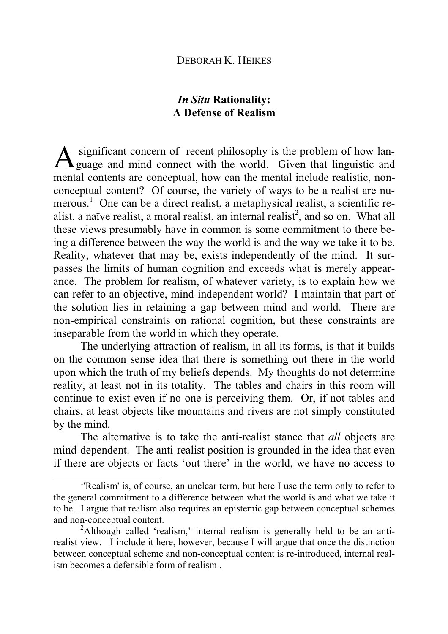# *In Situ* **Rationality: A Defense of Realism**

 significant concern of recent philosophy is the problem of how lan-A significant concern of recent philosophy is the problem of how lan-<br>guage and mind connect with the world. Given that linguistic and mental contents are conceptual, how can the mental include realistic, nonconceptual content? Of course, the variety of ways to be a realist are numerous. 1 One can be a direct realist, a metaphysical realist, a scientific realist, a naïve realist, a moral realist, an internal realist<sup>2</sup>, and so on. What all these views presumably have in common is some commitment to there being a difference between the way the world is and the way we take it to be. Reality, whatever that may be, exists independently of the mind. It surpasses the limits of human cognition and exceeds what is merely appearance. The problem for realism, of whatever variety, is to explain how we can refer to an objective, mind-independent world? I maintain that part of the solution lies in retaining a gap between mind and world. There are non-empirical constraints on rational cognition, but these constraints are inseparable from the world in which they operate.

The underlying attraction of realism, in all its forms, is that it builds on the common sense idea that there is something out there in the world upon which the truth of my beliefs depends. My thoughts do not determine reality, at least not in its totality. The tables and chairs in this room will continue to exist even if no one is perceiving them. Or, if not tables and chairs, at least objects like mountains and rivers are not simply constituted by the mind.

The alternative is to take the anti-realist stance that *all* objects are mind-dependent. The anti-realist position is grounded in the idea that even if there are objects or facts 'out there' in the world, we have no access to

<sup>&</sup>lt;sup>1</sup>'Realism' is, of course, an unclear term, but here I use the term only to refer to the general commitment to a difference between what the world is and what we take it to be. I argue that realism also requires an epistemic gap between conceptual schemes and non-conceptual content.

<sup>&</sup>lt;sup>2</sup>Although called 'realism,' internal realism is generally held to be an antirealist view. I include it here, however, because I will argue that once the distinction between conceptual scheme and non-conceptual content is re-introduced, internal realism becomes a defensible form of realism .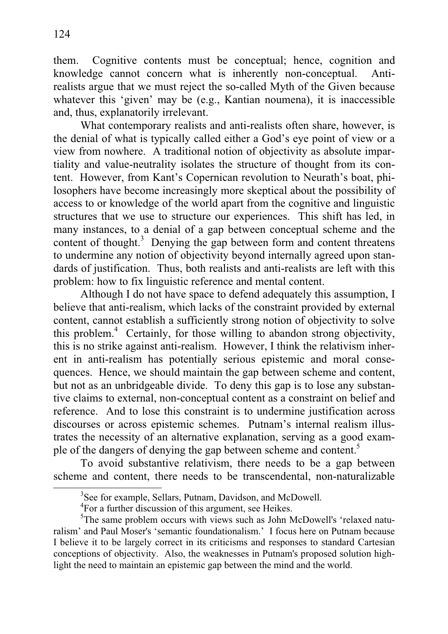them. Cognitive contents must be conceptual; hence, cognition and knowledge cannot concern what is inherently non-conceptual. Antirealists argue that we must reject the so-called Myth of the Given because whatever this 'given' may be (e.g., Kantian noumena), it is inaccessible and, thus, explanatorily irrelevant.

 What contemporary realists and anti-realists often share, however, is the denial of what is typically called either a God's eye point of view or a view from nowhere. A traditional notion of objectivity as absolute impartiality and value-neutrality isolates the structure of thought from its content. However, from Kant's Copernican revolution to Neurath's boat, philosophers have become increasingly more skeptical about the possibility of access to or knowledge of the world apart from the cognitive and linguistic structures that we use to structure our experiences. This shift has led, in many instances, to a denial of a gap between conceptual scheme and the content of thought.<sup>3</sup> Denying the gap between form and content threatens to undermine any notion of objectivity beyond internally agreed upon standards of justification. Thus, both realists and anti-realists are left with this problem: how to fix linguistic reference and mental content.

 Although I do not have space to defend adequately this assumption, I believe that anti-realism, which lacks of the constraint provided by external content, cannot establish a sufficiently strong notion of objectivity to solve this problem.<sup>4</sup> Certainly, for those willing to abandon strong objectivity, this is no strike against anti-realism. However, I think the relativism inherent in anti-realism has potentially serious epistemic and moral consequences. Hence, we should maintain the gap between scheme and content, but not as an unbridgeable divide. To deny this gap is to lose any substantive claims to external, non-conceptual content as a constraint on belief and reference. And to lose this constraint is to undermine justification across discourses or across epistemic schemes. Putnam's internal realism illustrates the necessity of an alternative explanation, serving as a good example of the dangers of denying the gap between scheme and content.<sup>5</sup>

To avoid substantive relativism, there needs to be a gap between scheme and content, there needs to be transcendental, non-naturalizable

<sup>&</sup>lt;sup>3</sup>See for example, Sellars, Putnam, Davidson, and McDowell.

<sup>&</sup>lt;sup>4</sup>For a further discussion of this argument, see Heikes.

<sup>&</sup>lt;sup>5</sup>The same problem occurs with views such as John McDowell's 'relaxed naturalism' and Paul Moser's 'semantic foundationalism.' I focus here on Putnam because I believe it to be largely correct in its criticisms and responses to standard Cartesian conceptions of objectivity. Also, the weaknesses in Putnam's proposed solution highlight the need to maintain an epistemic gap between the mind and the world.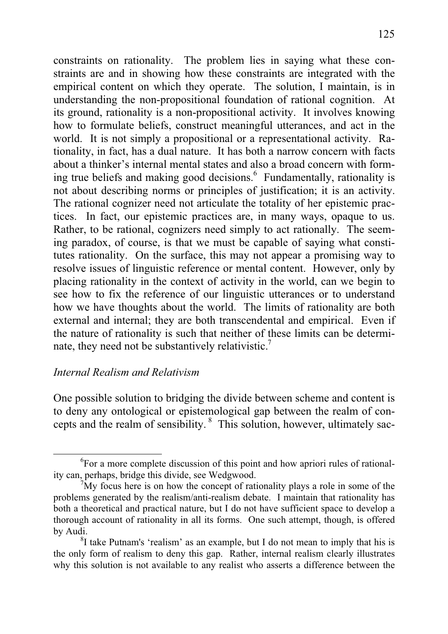constraints on rationality. The problem lies in saying what these constraints are and in showing how these constraints are integrated with the empirical content on which they operate. The solution, I maintain, is in understanding the non-propositional foundation of rational cognition. At its ground, rationality is a non-propositional activity. It involves knowing how to formulate beliefs, construct meaningful utterances, and act in the world. It is not simply a propositional or a representational activity. Rationality, in fact, has a dual nature. It has both a narrow concern with facts about a thinker's internal mental states and also a broad concern with forming true beliefs and making good decisions. <sup>6</sup> Fundamentally, rationality is not about describing norms or principles of justification; it is an activity. The rational cognizer need not articulate the totality of her epistemic practices. In fact, our epistemic practices are, in many ways, opaque to us. Rather, to be rational, cognizers need simply to act rationally. The seeming paradox, of course, is that we must be capable of saying what constitutes rationality. On the surface, this may not appear a promising way to resolve issues of linguistic reference or mental content. However, only by placing rationality in the context of activity in the world, can we begin to see how to fix the reference of our linguistic utterances or to understand how we have thoughts about the world. The limits of rationality are both external and internal; they are both transcendental and empirical. Even if the nature of rationality is such that neither of these limits can be determinate, they need not be substantively relativistic.<sup>7</sup>

### *Internal Realism and Relativism*

One possible solution to bridging the divide between scheme and content is to deny any ontological or epistemological gap between the realm of concepts and the realm of sensibility. 8 This solution, however, ultimately sac-

<sup>&</sup>lt;sup>6</sup>For a more complete discussion of this point and how apriori rules of rationality can, perhaps, bridge this divide, see Wedgwood.

 $7^7$ My focus here is on how the concept of rationality plays a role in some of the problems generated by the realism/anti-realism debate. I maintain that rationality has both a theoretical and practical nature, but I do not have sufficient space to develop a thorough account of rationality in all its forms. One such attempt, though, is offered by Audi.

 ${}^{8}$ I take Putnam's 'realism' as an example, but I do not mean to imply that his is the only form of realism to deny this gap. Rather, internal realism clearly illustrates why this solution is not available to any realist who asserts a difference between the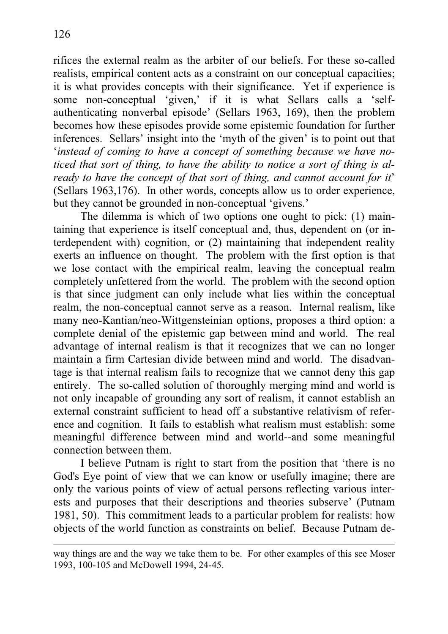rifices the external realm as the arbiter of our beliefs. For these so-called realists, empirical content acts as a constraint on our conceptual capacities; it is what provides concepts with their significance. Yet if experience is some non-conceptual 'given,' if it is what Sellars calls a 'selfauthenticating nonverbal episode' (Sellars 1963, 169), then the problem becomes how these episodes provide some epistemic foundation for further inferences. Sellars' insight into the 'myth of the given' is to point out that '*instead of coming to have a concept of something because we have noticed that sort of thing, to have the ability to notice a sort of thing is already to have the concept of that sort of thing, and cannot account for it*' (Sellars 1963,176). In other words, concepts allow us to order experience, but they cannot be grounded in non-conceptual 'givens.'

The dilemma is which of two options one ought to pick: (1) maintaining that experience is itself conceptual and, thus, dependent on (or interdependent with) cognition, or (2) maintaining that independent reality exerts an influence on thought. The problem with the first option is that we lose contact with the empirical realm, leaving the conceptual realm completely unfettered from the world. The problem with the second option is that since judgment can only include what lies within the conceptual realm, the non-conceptual cannot serve as a reason. Internal realism, like many neo-Kantian/neo-Wittgensteinian options, proposes a third option: a complete denial of the epistemic gap between mind and world. The real advantage of internal realism is that it recognizes that we can no longer maintain a firm Cartesian divide between mind and world. The disadvantage is that internal realism fails to recognize that we cannot deny this gap entirely. The so-called solution of thoroughly merging mind and world is not only incapable of grounding any sort of realism, it cannot establish an external constraint sufficient to head off a substantive relativism of reference and cognition. It fails to establish what realism must establish: some meaningful difference between mind and world--and some meaningful connection between them.

 I believe Putnam is right to start from the position that 'there is no God's Eye point of view that we can know or usefully imagine; there are only the various points of view of actual persons reflecting various interests and purposes that their descriptions and theories subserve' (Putnam 1981, 50). This commitment leads to a particular problem for realists: how objects of the world function as constraints on belief. Because Putnam de-

way things are and the way we take them to be. For other examples of this see Moser 1993, 100-105 and McDowell 1994, 24-45.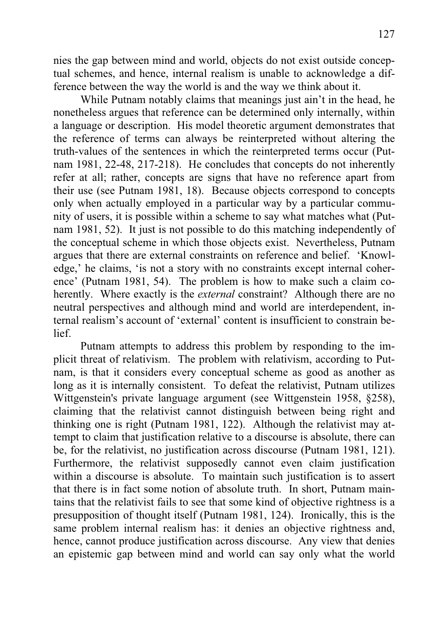nies the gap between mind and world, objects do not exist outside conceptual schemes, and hence, internal realism is unable to acknowledge a difference between the way the world is and the way we think about it.

 While Putnam notably claims that meanings just ain't in the head, he nonetheless argues that reference can be determined only internally, within a language or description. His model theoretic argument demonstrates that the reference of terms can always be reinterpreted without altering the truth-values of the sentences in which the reinterpreted terms occur (Putnam 1981, 22-48, 217-218). He concludes that concepts do not inherently refer at all; rather, concepts are signs that have no reference apart from their use (see Putnam 1981, 18). Because objects correspond to concepts only when actually employed in a particular way by a particular community of users, it is possible within a scheme to say what matches what (Putnam 1981, 52). It just is not possible to do this matching independently of the conceptual scheme in which those objects exist. Nevertheless, Putnam argues that there are external constraints on reference and belief. 'Knowledge,' he claims, 'is not a story with no constraints except internal coherence' (Putnam 1981, 54). The problem is how to make such a claim coherently. Where exactly is the *external* constraint? Although there are no neutral perspectives and although mind and world are interdependent, internal realism's account of 'external' content is insufficient to constrain belief.

Putnam attempts to address this problem by responding to the implicit threat of relativism. The problem with relativism, according to Putnam, is that it considers every conceptual scheme as good as another as long as it is internally consistent. To defeat the relativist, Putnam utilizes Wittgenstein's private language argument (see Wittgenstein 1958, §258), claiming that the relativist cannot distinguish between being right and thinking one is right (Putnam 1981, 122). Although the relativist may attempt to claim that justification relative to a discourse is absolute, there can be, for the relativist, no justification across discourse (Putnam 1981, 121). Furthermore, the relativist supposedly cannot even claim justification within a discourse is absolute. To maintain such justification is to assert that there is in fact some notion of absolute truth. In short, Putnam maintains that the relativist fails to see that some kind of objective rightness is a presupposition of thought itself (Putnam 1981, 124). Ironically, this is the same problem internal realism has: it denies an objective rightness and, hence, cannot produce justification across discourse. Any view that denies an epistemic gap between mind and world can say only what the world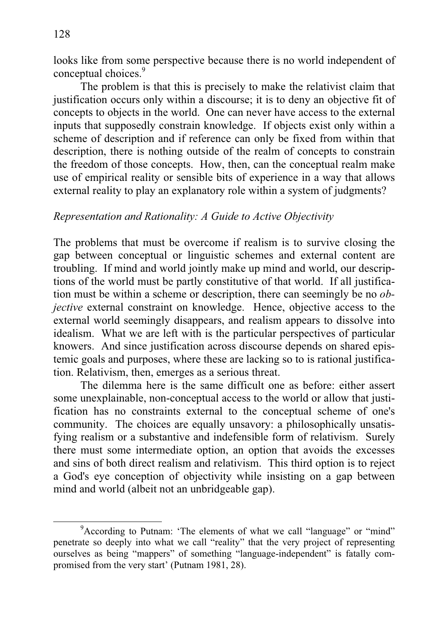looks like from some perspective because there is no world independent of conceptual choices.<sup>9</sup>

The problem is that this is precisely to make the relativist claim that justification occurs only within a discourse; it is to deny an objective fit of concepts to objects in the world. One can never have access to the external inputs that supposedly constrain knowledge. If objects exist only within a scheme of description and if reference can only be fixed from within that description, there is nothing outside of the realm of concepts to constrain the freedom of those concepts. How, then, can the conceptual realm make use of empirical reality or sensible bits of experience in a way that allows external reality to play an explanatory role within a system of judgments?

# *Representation and Rationality: A Guide to Active Objectivity*

The problems that must be overcome if realism is to survive closing the gap between conceptual or linguistic schemes and external content are troubling. If mind and world jointly make up mind and world, our descriptions of the world must be partly constitutive of that world. If all justification must be within a scheme or description, there can seemingly be no *objective* external constraint on knowledge. Hence, objective access to the external world seemingly disappears, and realism appears to dissolve into idealism. What we are left with is the particular perspectives of particular knowers. And since justification across discourse depends on shared epistemic goals and purposes, where these are lacking so to is rational justification. Relativism, then, emerges as a serious threat.

The dilemma here is the same difficult one as before: either assert some unexplainable, non-conceptual access to the world or allow that justification has no constraints external to the conceptual scheme of one's community. The choices are equally unsavory: a philosophically unsatisfying realism or a substantive and indefensible form of relativism. Surely there must some intermediate option, an option that avoids the excesses and sins of both direct realism and relativism. This third option is to reject a God's eye conception of objectivity while insisting on a gap between mind and world (albeit not an unbridgeable gap).

<sup>&</sup>lt;sup>9</sup> According to Putnam: 'The elements of what we call "language" or "mind" penetrate so deeply into what we call "reality" that the very project of representing ourselves as being "mappers" of something "language-independent" is fatally compromised from the very start' (Putnam 1981, 28).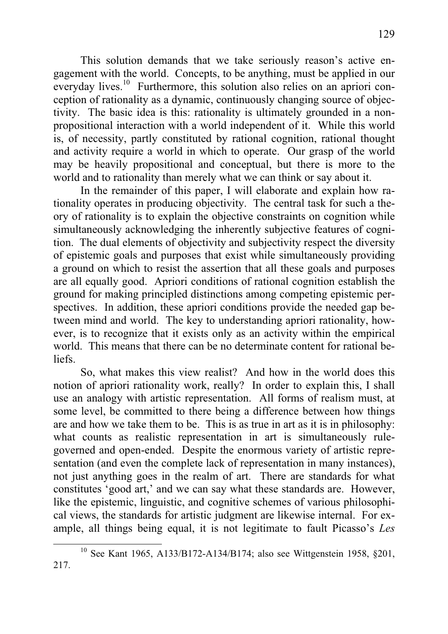This solution demands that we take seriously reason's active engagement with the world. Concepts, to be anything, must be applied in our everyday lives.<sup>10</sup> Furthermore, this solution also relies on an apriori conception of rationality as a dynamic, continuously changing source of objectivity. The basic idea is this: rationality is ultimately grounded in a nonpropositional interaction with a world independent of it. While this world is, of necessity, partly constituted by rational cognition, rational thought and activity require a world in which to operate. Our grasp of the world may be heavily propositional and conceptual, but there is more to the world and to rationality than merely what we can think or say about it.

In the remainder of this paper, I will elaborate and explain how rationality operates in producing objectivity. The central task for such a theory of rationality is to explain the objective constraints on cognition while simultaneously acknowledging the inherently subjective features of cognition. The dual elements of objectivity and subjectivity respect the diversity of epistemic goals and purposes that exist while simultaneously providing a ground on which to resist the assertion that all these goals and purposes are all equally good. Apriori conditions of rational cognition establish the ground for making principled distinctions among competing epistemic perspectives. In addition, these apriori conditions provide the needed gap between mind and world. The key to understanding apriori rationality, however, is to recognize that it exists only as an activity within the empirical world. This means that there can be no determinate content for rational beliefs.

So, what makes this view realist? And how in the world does this notion of apriori rationality work, really? In order to explain this, I shall use an analogy with artistic representation. All forms of realism must, at some level, be committed to there being a difference between how things are and how we take them to be. This is as true in art as it is in philosophy: what counts as realistic representation in art is simultaneously rulegoverned and open-ended. Despite the enormous variety of artistic representation (and even the complete lack of representation in many instances), not just anything goes in the realm of art. There are standards for what constitutes 'good art,' and we can say what these standards are. However, like the epistemic, linguistic, and cognitive schemes of various philosophical views, the standards for artistic judgment are likewise internal. For example, all things being equal, it is not legitimate to fault Picasso's *Les*

<sup>10</sup> See Kant 1965, A133/B172-A134/B174; also see Wittgenstein 1958, §201, 217.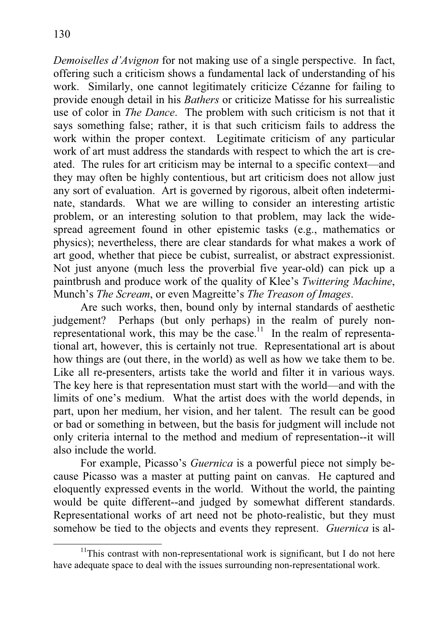*Demoiselles d'Avignon* for not making use of a single perspective. In fact, offering such a criticism shows a fundamental lack of understanding of his work. Similarly, one cannot legitimately criticize Cézanne for failing to provide enough detail in his *Bathers* or criticize Matisse for his surrealistic use of color in *The Dance*. The problem with such criticism is not that it says something false; rather, it is that such criticism fails to address the work within the proper context. Legitimate criticism of any particular work of art must address the standards with respect to which the art is created. The rules for art criticism may be internal to a specific context—and they may often be highly contentious, but art criticism does not allow just any sort of evaluation. Art is governed by rigorous, albeit often indeterminate, standards. What we are willing to consider an interesting artistic problem, or an interesting solution to that problem, may lack the widespread agreement found in other epistemic tasks (e.g., mathematics or physics); nevertheless, there are clear standards for what makes a work of art good, whether that piece be cubist, surrealist, or abstract expressionist. Not just anyone (much less the proverbial five year-old) can pick up a paintbrush and produce work of the quality of Klee's *Twittering Machine*, Munch's *The Scream*, or even Magreitte's *The Treason of Images*.

Are such works, then, bound only by internal standards of aesthetic judgement? Perhaps (but only perhaps) in the realm of purely nonrepresentational work, this may be the case.<sup>11</sup> In the realm of representational art, however, this is certainly not true. Representational art is about how things are (out there, in the world) as well as how we take them to be. Like all re-presenters, artists take the world and filter it in various ways. The key here is that representation must start with the world—and with the limits of one's medium. What the artist does with the world depends, in part, upon her medium, her vision, and her talent. The result can be good or bad or something in between, but the basis for judgment will include not only criteria internal to the method and medium of representation--it will also include the world.

For example, Picasso's *Guernica* is a powerful piece not simply because Picasso was a master at putting paint on canvas. He captured and eloquently expressed events in the world. Without the world, the painting would be quite different--and judged by somewhat different standards. Representational works of art need not be photo-realistic, but they must somehow be tied to the objects and events they represent. *Guernica* is al-

 $11$ This contrast with non-representational work is significant, but I do not here have adequate space to deal with the issues surrounding non-representational work.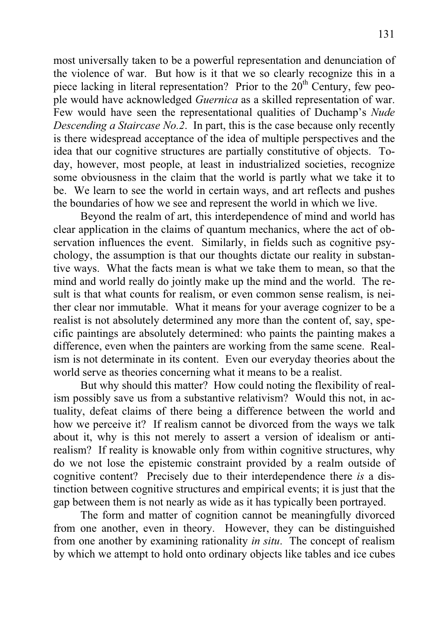most universally taken to be a powerful representation and denunciation of the violence of war. But how is it that we so clearly recognize this in a piece lacking in literal representation? Prior to the  $20<sup>th</sup>$  Century, few people would have acknowledged *Guernica* as a skilled representation of war. Few would have seen the representational qualities of Duchamp's *Nude Descending a Staircase No.2*. In part, this is the case because only recently is there widespread acceptance of the idea of multiple perspectives and the idea that our cognitive structures are partially constitutive of objects. Today, however, most people, at least in industrialized societies, recognize some obviousness in the claim that the world is partly what we take it to be. We learn to see the world in certain ways, and art reflects and pushes the boundaries of how we see and represent the world in which we live.

Beyond the realm of art, this interdependence of mind and world has clear application in the claims of quantum mechanics, where the act of observation influences the event. Similarly, in fields such as cognitive psychology, the assumption is that our thoughts dictate our reality in substantive ways. What the facts mean is what we take them to mean, so that the mind and world really do jointly make up the mind and the world. The result is that what counts for realism, or even common sense realism, is neither clear nor immutable. What it means for your average cognizer to be a realist is not absolutely determined any more than the content of, say, specific paintings are absolutely determined: who paints the painting makes a difference, even when the painters are working from the same scene. Realism is not determinate in its content. Even our everyday theories about the world serve as theories concerning what it means to be a realist.

 But why should this matter? How could noting the flexibility of realism possibly save us from a substantive relativism? Would this not, in actuality, defeat claims of there being a difference between the world and how we perceive it? If realism cannot be divorced from the ways we talk about it, why is this not merely to assert a version of idealism or antirealism? If reality is knowable only from within cognitive structures, why do we not lose the epistemic constraint provided by a realm outside of cognitive content? Precisely due to their interdependence there *is* a distinction between cognitive structures and empirical events; it is just that the gap between them is not nearly as wide as it has typically been portrayed.

The form and matter of cognition cannot be meaningfully divorced from one another, even in theory. However, they can be distinguished from one another by examining rationality *in situ*. The concept of realism by which we attempt to hold onto ordinary objects like tables and ice cubes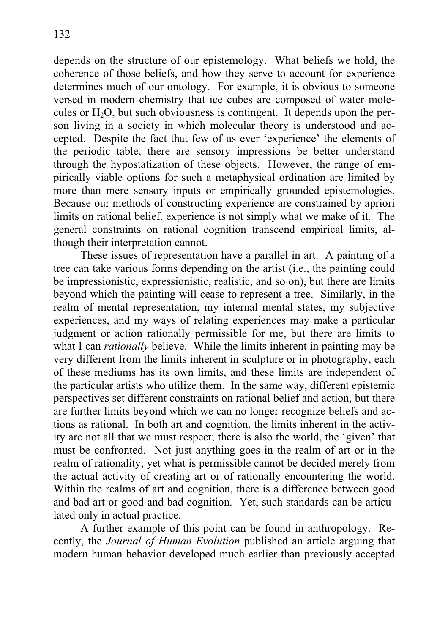depends on the structure of our epistemology. What beliefs we hold, the coherence of those beliefs, and how they serve to account for experience determines much of our ontology. For example, it is obvious to someone versed in modern chemistry that ice cubes are composed of water molecules or  $H_2O$ , but such obviousness is contingent. It depends upon the person living in a society in which molecular theory is understood and accepted. Despite the fact that few of us ever 'experience' the elements of the periodic table, there are sensory impressions be better understand through the hypostatization of these objects. However, the range of empirically viable options for such a metaphysical ordination are limited by more than mere sensory inputs or empirically grounded epistemologies. Because our methods of constructing experience are constrained by apriori limits on rational belief, experience is not simply what we make of it. The general constraints on rational cognition transcend empirical limits, although their interpretation cannot.

These issues of representation have a parallel in art. A painting of a tree can take various forms depending on the artist (i.e., the painting could be impressionistic, expressionistic, realistic, and so on), but there are limits beyond which the painting will cease to represent a tree. Similarly, in the realm of mental representation, my internal mental states, my subjective experiences, and my ways of relating experiences may make a particular judgment or action rationally permissible for me, but there are limits to what I can *rationally* believe. While the limits inherent in painting may be very different from the limits inherent in sculpture or in photography, each of these mediums has its own limits, and these limits are independent of the particular artists who utilize them. In the same way, different epistemic perspectives set different constraints on rational belief and action, but there are further limits beyond which we can no longer recognize beliefs and actions as rational. In both art and cognition, the limits inherent in the activity are not all that we must respect; there is also the world, the 'given' that must be confronted. Not just anything goes in the realm of art or in the realm of rationality; yet what is permissible cannot be decided merely from the actual activity of creating art or of rationally encountering the world. Within the realms of art and cognition, there is a difference between good and bad art or good and bad cognition. Yet, such standards can be articulated only in actual practice.

 A further example of this point can be found in anthropology. Recently, the *Journal of Human Evolution* published an article arguing that modern human behavior developed much earlier than previously accepted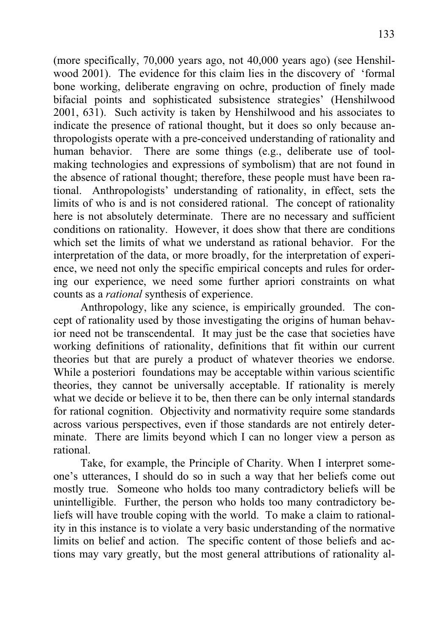(more specifically, 70,000 years ago, not 40,000 years ago) (see Henshilwood 2001). The evidence for this claim lies in the discovery of 'formal bone working, deliberate engraving on ochre, production of finely made bifacial points and sophisticated subsistence strategies' (Henshilwood 2001, 631). Such activity is taken by Henshilwood and his associates to indicate the presence of rational thought, but it does so only because anthropologists operate with a pre-conceived understanding of rationality and human behavior. There are some things (e.g., deliberate use of toolmaking technologies and expressions of symbolism) that are not found in the absence of rational thought; therefore, these people must have been rational. Anthropologists' understanding of rationality, in effect, sets the limits of who is and is not considered rational. The concept of rationality here is not absolutely determinate. There are no necessary and sufficient conditions on rationality. However, it does show that there are conditions which set the limits of what we understand as rational behavior. For the interpretation of the data, or more broadly, for the interpretation of experience, we need not only the specific empirical concepts and rules for ordering our experience, we need some further apriori constraints on what counts as a *rational* synthesis of experience.

 Anthropology, like any science, is empirically grounded. The concept of rationality used by those investigating the origins of human behavior need not be transcendental. It may just be the case that societies have working definitions of rationality, definitions that fit within our current theories but that are purely a product of whatever theories we endorse. While a posteriori foundations may be acceptable within various scientific theories, they cannot be universally acceptable. If rationality is merely what we decide or believe it to be, then there can be only internal standards for rational cognition. Objectivity and normativity require some standards across various perspectives, even if those standards are not entirely determinate. There are limits beyond which I can no longer view a person as rational.

Take, for example, the Principle of Charity. When I interpret someone's utterances, I should do so in such a way that her beliefs come out mostly true. Someone who holds too many contradictory beliefs will be unintelligible. Further, the person who holds too many contradictory beliefs will have trouble coping with the world. To make a claim to rationality in this instance is to violate a very basic understanding of the normative limits on belief and action. The specific content of those beliefs and actions may vary greatly, but the most general attributions of rationality al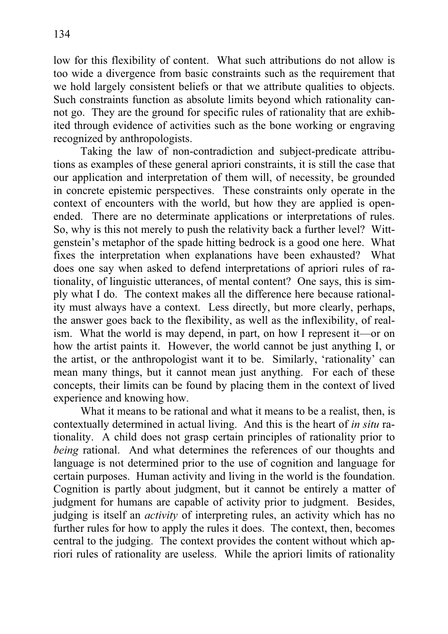low for this flexibility of content. What such attributions do not allow is too wide a divergence from basic constraints such as the requirement that we hold largely consistent beliefs or that we attribute qualities to objects. Such constraints function as absolute limits beyond which rationality cannot go. They are the ground for specific rules of rationality that are exhibited through evidence of activities such as the bone working or engraving recognized by anthropologists.

 Taking the law of non-contradiction and subject-predicate attributions as examples of these general apriori constraints, it is still the case that our application and interpretation of them will, of necessity, be grounded in concrete epistemic perspectives. These constraints only operate in the context of encounters with the world, but how they are applied is openended. There are no determinate applications or interpretations of rules. So, why is this not merely to push the relativity back a further level? Wittgenstein's metaphor of the spade hitting bedrock is a good one here. What fixes the interpretation when explanations have been exhausted? What does one say when asked to defend interpretations of apriori rules of rationality, of linguistic utterances, of mental content? One says, this is simply what I do. The context makes all the difference here because rationality must always have a context. Less directly, but more clearly, perhaps, the answer goes back to the flexibility, as well as the inflexibility, of realism. What the world is may depend, in part, on how I represent it—or on how the artist paints it. However, the world cannot be just anything I, or the artist, or the anthropologist want it to be. Similarly, 'rationality' can mean many things, but it cannot mean just anything. For each of these concepts, their limits can be found by placing them in the context of lived experience and knowing how.

What it means to be rational and what it means to be a realist, then, is contextually determined in actual living. And this is the heart of *in situ* rationality. A child does not grasp certain principles of rationality prior to *being* rational. And what determines the references of our thoughts and language is not determined prior to the use of cognition and language for certain purposes. Human activity and living in the world is the foundation. Cognition is partly about judgment, but it cannot be entirely a matter of judgment for humans are capable of activity prior to judgment. Besides, judging is itself an *activity* of interpreting rules, an activity which has no further rules for how to apply the rules it does. The context, then, becomes central to the judging. The context provides the content without which apriori rules of rationality are useless. While the apriori limits of rationality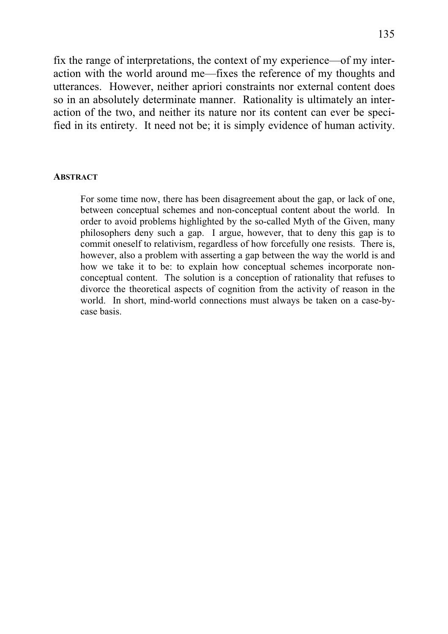fix the range of interpretations, the context of my experience—of my interaction with the world around me—fixes the reference of my thoughts and utterances. However, neither apriori constraints nor external content does so in an absolutely determinate manner. Rationality is ultimately an interaction of the two, and neither its nature nor its content can ever be specified in its entirety. It need not be; it is simply evidence of human activity.

#### **ABSTRACT**

For some time now, there has been disagreement about the gap, or lack of one, between conceptual schemes and non-conceptual content about the world. In order to avoid problems highlighted by the so-called Myth of the Given, many philosophers deny such a gap. I argue, however, that to deny this gap is to commit oneself to relativism, regardless of how forcefully one resists. There is, however, also a problem with asserting a gap between the way the world is and how we take it to be: to explain how conceptual schemes incorporate nonconceptual content. The solution is a conception of rationality that refuses to divorce the theoretical aspects of cognition from the activity of reason in the world. In short, mind-world connections must always be taken on a case-bycase basis.